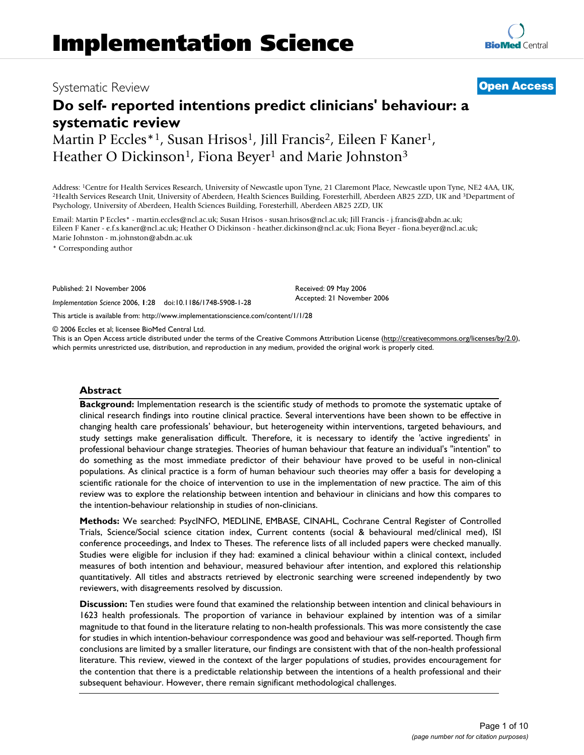# Systematic Review **[Open Access](http://www.biomedcentral.com/info/about/charter/)**

# **Do self- reported intentions predict clinicians' behaviour: a systematic review**

Martin P Eccles<sup>\*1</sup>, Susan Hrisos<sup>1</sup>, Jill Francis<sup>2</sup>, Eileen F Kaner<sup>1</sup>, Heather O Dickinson<sup>1</sup>, Fiona Beyer<sup>1</sup> and Marie Johnston<sup>3</sup>

Address: <sup>1</sup>Centre for Health Services Research, University of Newcastle upon Tyne, 21 Claremont Place, Newcastle upon Tyne, NE2 4AA, UK, <sup>2</sup>Health Services Research Unit, University of Aberdeen, Health Sciences Building, Psychology, University of Aberdeen, Health Sciences Building, Foresterhill, Aberdeen AB25 2ZD, UK

Email: Martin P Eccles\* - martin.eccles@ncl.ac.uk; Susan Hrisos - susan.hrisos@ncl.ac.uk; Jill Francis - j.francis@abdn.ac.uk; Eileen F Kaner - e.f.s.kaner@ncl.ac.uk; Heather O Dickinson - heather.dickinson@ncl.ac.uk; Fiona Beyer - fiona.beyer@ncl.ac.uk; Marie Johnston - m.johnston@abdn.ac.uk

\* Corresponding author

Published: 21 November 2006

*Implementation Science* 2006, **1**:28 doi:10.1186/1748-5908-1-28

[This article is available from: http://www.implementationscience.com/content/1/1/28](http://www.implementationscience.com/content/1/1/28)

© 2006 Eccles et al; licensee BioMed Central Ltd.

This is an Open Access article distributed under the terms of the Creative Commons Attribution License [\(http://creativecommons.org/licenses/by/2.0\)](http://creativecommons.org/licenses/by/2.0), which permits unrestricted use, distribution, and reproduction in any medium, provided the original work is properly cited.

Received: 09 May 2006 Accepted: 21 November 2006

#### **Abstract**

**Background:** Implementation research is the scientific study of methods to promote the systematic uptake of clinical research findings into routine clinical practice. Several interventions have been shown to be effective in changing health care professionals' behaviour, but heterogeneity within interventions, targeted behaviours, and study settings make generalisation difficult. Therefore, it is necessary to identify the 'active ingredients' in professional behaviour change strategies. Theories of human behaviour that feature an individual's "intention" to do something as the most immediate predictor of their behaviour have proved to be useful in non-clinical populations. As clinical practice is a form of human behaviour such theories may offer a basis for developing a scientific rationale for the choice of intervention to use in the implementation of new practice. The aim of this review was to explore the relationship between intention and behaviour in clinicians and how this compares to the intention-behaviour relationship in studies of non-clinicians.

**Methods:** We searched: PsycINFO, MEDLINE, EMBASE, CINAHL, Cochrane Central Register of Controlled Trials, Science/Social science citation index, Current contents (social & behavioural med/clinical med), ISI conference proceedings, and Index to Theses. The reference lists of all included papers were checked manually. Studies were eligible for inclusion if they had: examined a clinical behaviour within a clinical context, included measures of both intention and behaviour, measured behaviour after intention, and explored this relationship quantitatively. All titles and abstracts retrieved by electronic searching were screened independently by two reviewers, with disagreements resolved by discussion.

**Discussion:** Ten studies were found that examined the relationship between intention and clinical behaviours in 1623 health professionals. The proportion of variance in behaviour explained by intention was of a similar magnitude to that found in the literature relating to non-health professionals. This was more consistently the case for studies in which intention-behaviour correspondence was good and behaviour was self-reported. Though firm conclusions are limited by a smaller literature, our findings are consistent with that of the non-health professional literature. This review, viewed in the context of the larger populations of studies, provides encouragement for the contention that there is a predictable relationship between the intentions of a health professional and their subsequent behaviour. However, there remain significant methodological challenges.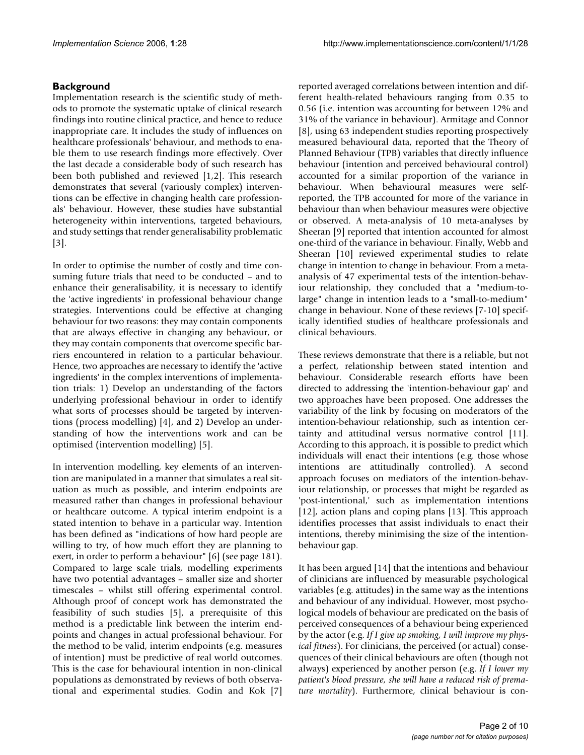# **Background**

Implementation research is the scientific study of methods to promote the systematic uptake of clinical research findings into routine clinical practice, and hence to reduce inappropriate care. It includes the study of influences on healthcare professionals' behaviour, and methods to enable them to use research findings more effectively. Over the last decade a considerable body of such research has been both published and reviewed [1,2]. This research demonstrates that several (variously complex) interventions can be effective in changing health care professionals' behaviour. However, these studies have substantial heterogeneity within interventions, targeted behaviours, and study settings that render generalisability problematic  $|3|$ .

In order to optimise the number of costly and time consuming future trials that need to be conducted – and to enhance their generalisability, it is necessary to identify the 'active ingredients' in professional behaviour change strategies. Interventions could be effective at changing behaviour for two reasons: they may contain components that are always effective in changing any behaviour, or they may contain components that overcome specific barriers encountered in relation to a particular behaviour. Hence, two approaches are necessary to identify the 'active ingredients' in the complex interventions of implementation trials: 1) Develop an understanding of the factors underlying professional behaviour in order to identify what sorts of processes should be targeted by interventions (process modelling) [4], and 2) Develop an understanding of how the interventions work and can be optimised (intervention modelling) [5].

In intervention modelling, key elements of an intervention are manipulated in a manner that simulates a real situation as much as possible, and interim endpoints are measured rather than changes in professional behaviour or healthcare outcome. A typical interim endpoint is a stated intention to behave in a particular way. Intention has been defined as "indications of how hard people are willing to try, of how much effort they are planning to exert, in order to perform a behaviour" [6] (see page 181). Compared to large scale trials, modelling experiments have two potential advantages – smaller size and shorter timescales – whilst still offering experimental control. Although proof of concept work has demonstrated the feasibility of such studies [5], a prerequisite of this method is a predictable link between the interim endpoints and changes in actual professional behaviour. For the method to be valid, interim endpoints (e.g. measures of intention) must be predictive of real world outcomes. This is the case for behavioural intention in non-clinical populations as demonstrated by reviews of both observational and experimental studies. Godin and Kok [7]

reported averaged correlations between intention and different health-related behaviours ranging from 0.35 to 0.56 (i.e. intention was accounting for between 12% and 31% of the variance in behaviour). Armitage and Connor [8], using 63 independent studies reporting prospectively measured behavioural data, reported that the Theory of Planned Behaviour (TPB) variables that directly influence behaviour (intention and perceived behavioural control) accounted for a similar proportion of the variance in behaviour. When behavioural measures were selfreported, the TPB accounted for more of the variance in behaviour than when behaviour measures were objective or observed. A meta-analysis of 10 meta-analyses by Sheeran [9] reported that intention accounted for almost one-third of the variance in behaviour. Finally, Webb and Sheeran [10] reviewed experimental studies to relate change in intention to change in behaviour. From a metaanalysis of 47 experimental tests of the intention-behaviour relationship, they concluded that a "medium-tolarge" change in intention leads to a "small-to-medium" change in behaviour. None of these reviews [7-10] specifically identified studies of healthcare professionals and clinical behaviours.

These reviews demonstrate that there is a reliable, but not a perfect, relationship between stated intention and behaviour. Considerable research efforts have been directed to addressing the 'intention-behaviour gap' and two approaches have been proposed. One addresses the variability of the link by focusing on moderators of the intention-behaviour relationship, such as intention certainty and attitudinal versus normative control [11]. According to this approach, it is possible to predict which individuals will enact their intentions (e.g. those whose intentions are attitudinally controlled). A second approach focuses on mediators of the intention-behaviour relationship, or processes that might be regarded as 'post-intentional,' such as implementation intentions [12], action plans and coping plans [13]. This approach identifies processes that assist individuals to enact their intentions, thereby minimising the size of the intentionbehaviour gap.

It has been argued [14] that the intentions and behaviour of clinicians are influenced by measurable psychological variables (e.g. attitudes) in the same way as the intentions and behaviour of any individual. However, most psychological models of behaviour are predicated on the basis of perceived consequences of a behaviour being experienced by the actor (e.g. *If I give up smoking, I will improve my physical fitness*). For clinicians, the perceived (or actual) consequences of their clinical behaviours are often (though not always) experienced by another person (e.g. *If I lower my patient's blood pressure, she will have a reduced risk of premature mortality*). Furthermore, clinical behaviour is con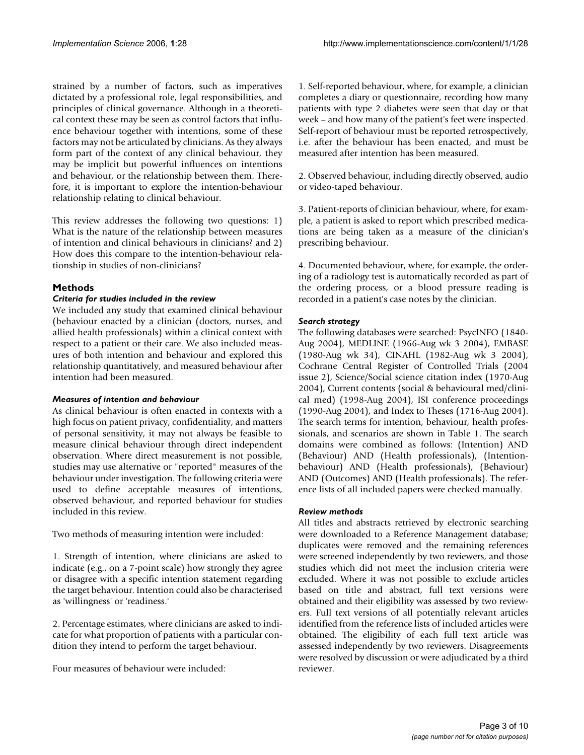strained by a number of factors, such as imperatives dictated by a professional role, legal responsibilities, and principles of clinical governance. Although in a theoretical context these may be seen as control factors that influence behaviour together with intentions, some of these factors may not be articulated by clinicians. As they always form part of the context of any clinical behaviour, they may be implicit but powerful influences on intentions and behaviour, or the relationship between them. Therefore, it is important to explore the intention-behaviour relationship relating to clinical behaviour.

This review addresses the following two questions: 1) What is the nature of the relationship between measures of intention and clinical behaviours in clinicians? and 2) How does this compare to the intention-behaviour relationship in studies of non-clinicians?

# **Methods**

# *Criteria for studies included in the review*

We included any study that examined clinical behaviour (behaviour enacted by a clinician (doctors, nurses, and allied health professionals) within a clinical context with respect to a patient or their care. We also included measures of both intention and behaviour and explored this relationship quantitatively, and measured behaviour after intention had been measured.

## *Measures of intention and behaviour*

As clinical behaviour is often enacted in contexts with a high focus on patient privacy, confidentiality, and matters of personal sensitivity, it may not always be feasible to measure clinical behaviour through direct independent observation. Where direct measurement is not possible, studies may use alternative or "reported" measures of the behaviour under investigation. The following criteria were used to define acceptable measures of intentions, observed behaviour, and reported behaviour for studies included in this review.

Two methods of measuring intention were included:

1. Strength of intention, where clinicians are asked to indicate (e.g., on a 7-point scale) how strongly they agree or disagree with a specific intention statement regarding the target behaviour. Intention could also be characterised as 'willingness' or 'readiness.'

2. Percentage estimates, where clinicians are asked to indicate for what proportion of patients with a particular condition they intend to perform the target behaviour.

Four measures of behaviour were included:

1. Self-reported behaviour, where, for example, a clinician completes a diary or questionnaire, recording how many patients with type 2 diabetes were seen that day or that week – and how many of the patient's feet were inspected. Self-report of behaviour must be reported retrospectively, i.e. after the behaviour has been enacted, and must be measured after intention has been measured.

2. Observed behaviour, including directly observed, audio or video-taped behaviour.

3. Patient-reports of clinician behaviour, where, for example, a patient is asked to report which prescribed medications are being taken as a measure of the clinician's prescribing behaviour.

4. Documented behaviour, where, for example, the ordering of a radiology test is automatically recorded as part of the ordering process, or a blood pressure reading is recorded in a patient's case notes by the clinician.

# *Search strategy*

The following databases were searched: PsycINFO (1840- Aug 2004), MEDLINE (1966-Aug wk 3 2004), EMBASE (1980-Aug wk 34), CINAHL (1982-Aug wk 3 2004), Cochrane Central Register of Controlled Trials (2004 issue 2), Science/Social science citation index (1970-Aug 2004), Current contents (social & behavioural med/clinical med) (1998-Aug 2004), ISI conference proceedings (1990-Aug 2004), and Index to Theses (1716-Aug 2004). The search terms for intention, behaviour, health professionals, and scenarios are shown in Table 1. The search domains were combined as follows: (Intention) AND (Behaviour) AND (Health professionals), (Intentionbehaviour) AND (Health professionals), (Behaviour) AND (Outcomes) AND (Health professionals). The reference lists of all included papers were checked manually.

# *Review methods*

All titles and abstracts retrieved by electronic searching were downloaded to a Reference Management database; duplicates were removed and the remaining references were screened independently by two reviewers, and those studies which did not meet the inclusion criteria were excluded. Where it was not possible to exclude articles based on title and abstract, full text versions were obtained and their eligibility was assessed by two reviewers. Full text versions of all potentially relevant articles identified from the reference lists of included articles were obtained. The eligibility of each full text article was assessed independently by two reviewers. Disagreements were resolved by discussion or were adjudicated by a third reviewer.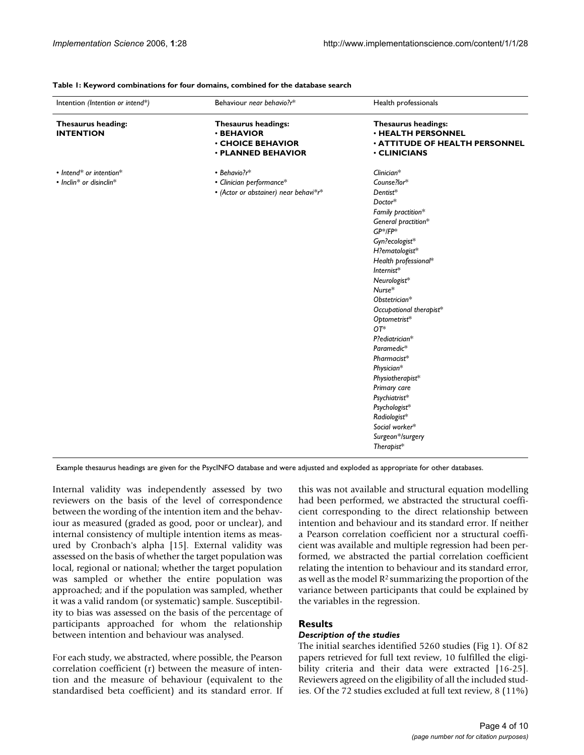| Intention (Intention or intend*)                   | Behaviour near behavio?r*                                                                       | Health professionals                                                                                                                                                                                                                                                                                                                                                                                                                                                                                                          |
|----------------------------------------------------|-------------------------------------------------------------------------------------------------|-------------------------------------------------------------------------------------------------------------------------------------------------------------------------------------------------------------------------------------------------------------------------------------------------------------------------------------------------------------------------------------------------------------------------------------------------------------------------------------------------------------------------------|
| Thesaurus heading:<br><b>INTENTION</b>             | Thesaurus headings:<br><b>· BEHAVIOR</b><br><b>CHOICE BEHAVIOR</b><br><b>. PLANNED BEHAVIOR</b> | Thesaurus headings:<br><b>. HEALTH PERSONNEL</b><br><b>. ATTITUDE OF HEALTH PERSONNEL</b><br><b>• CLINICIANS</b>                                                                                                                                                                                                                                                                                                                                                                                                              |
| • Intend* or intention*<br>• Inclin* or disinclin* | • Behavio?r*<br>• Clinician performance*<br>• (Actor or abstainer) near behavi*r*               | Clinician*<br>Counse?lor*<br>$D$ entist $*$<br>Doctor*<br>Family practition*<br>General practition*<br>$GP*$ /FP*<br>Gyn?ecologist*<br>H?ematologist*<br>Health professional*<br>Internist $*$<br>Neurologist*<br>Nurse*<br>Obstetrician*<br>Occupational therapist*<br>Optometrist*<br>OT <sup>*</sup><br>P?ediatrician*<br>Paramedic <sup>*</sup><br>Pharmacist*<br>Physician*<br>Physiotherapist*<br>Primary care<br>Psychiatrist*<br>Psychologist*<br>Radiologist*<br>Social worker*<br>Surgeon*/surgery<br>Therapist $*$ |

#### **Table 1: Keyword combinations for four domains, combined for the database search**

Example thesaurus headings are given for the PsycINFO database and were adjusted and exploded as appropriate for other databases.

Internal validity was independently assessed by two reviewers on the basis of the level of correspondence between the wording of the intention item and the behaviour as measured (graded as good, poor or unclear), and internal consistency of multiple intention items as measured by Cronbach's alpha [15]. External validity was assessed on the basis of whether the target population was local, regional or national; whether the target population was sampled or whether the entire population was approached; and if the population was sampled, whether it was a valid random (or systematic) sample. Susceptibility to bias was assessed on the basis of the percentage of participants approached for whom the relationship between intention and behaviour was analysed.

For each study, we abstracted, where possible, the Pearson correlation coefficient (r) between the measure of intention and the measure of behaviour (equivalent to the standardised beta coefficient) and its standard error. If this was not available and structural equation modelling had been performed, we abstracted the structural coefficient corresponding to the direct relationship between intention and behaviour and its standard error. If neither a Pearson correlation coefficient nor a structural coefficient was available and multiple regression had been performed, we abstracted the partial correlation coefficient relating the intention to behaviour and its standard error, as well as the model R2 summarizing the proportion of the variance between participants that could be explained by the variables in the regression.

## **Results**

## *Description of the studies*

The initial searches identified 5260 studies (Fig 1). Of 82 papers retrieved for full text review, 10 fulfilled the eligibility criteria and their data were extracted [16-25]. Reviewers agreed on the eligibility of all the included studies. Of the 72 studies excluded at full text review, 8 (11%)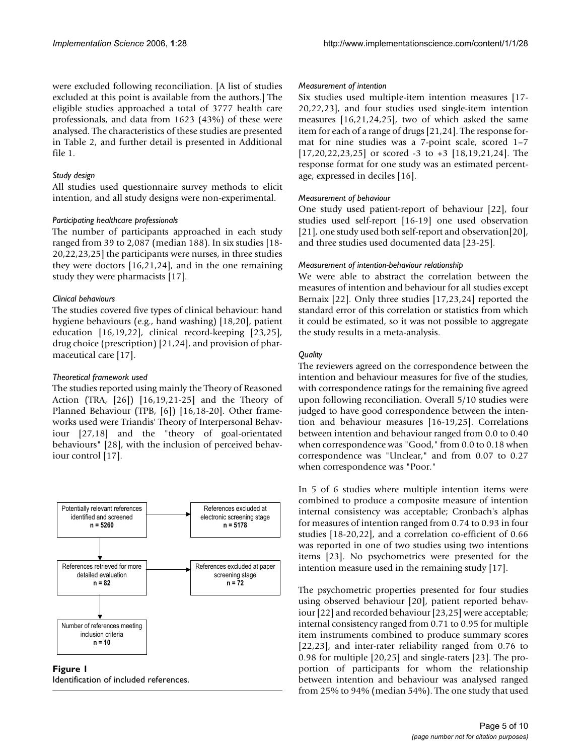were excluded following reconciliation. [A list of studies excluded at this point is available from the authors.] The eligible studies approached a total of 3777 health care professionals, and data from 1623 (43%) of these were analysed. The characteristics of these studies are presented in Table 2, and further detail is presented in Additional file 1.

#### *Study design*

All studies used questionnaire survey methods to elicit intention, and all study designs were non-experimental.

#### *Participating healthcare professionals*

The number of participants approached in each study ranged from 39 to 2,087 (median 188). In six studies [18- 20,22,23,25] the participants were nurses, in three studies they were doctors [16,21,24], and in the one remaining study they were pharmacists [17].

#### *Clinical behaviours*

The studies covered five types of clinical behaviour: hand hygiene behaviours (e.g., hand washing) [18,20], patient education [16,19,22], clinical record-keeping [23,25], drug choice (prescription) [21,24], and provision of pharmaceutical care [17].

#### *Theoretical framework used*

The studies reported using mainly the Theory of Reasoned Action (TRA, [26]) [16,19,21-25] and the Theory of Planned Behaviour (TPB, [6]) [16,18-20]. Other frameworks used were Triandis' Theory of Interpersonal Behaviour [27,18] and the "theory of goal-orientated behaviours" [28], with the inclusion of perceived behaviour control [17].



Identification of included references.

#### *Measurement of intention*

Six studies used multiple-item intention measures [17- 20,22,23], and four studies used single-item intention measures [16,21,24,25], two of which asked the same item for each of a range of drugs [21,24]. The response format for nine studies was a 7-point scale, scored 1–7 [17,20,22,23,25] or scored -3 to +3 [18,19,21,24]. The response format for one study was an estimated percentage, expressed in deciles [16].

#### *Measurement of behaviour*

One study used patient-report of behaviour [22], four studies used self-report [16-19] one used observation [21], one study used both self-report and observation[20], and three studies used documented data [23-25].

#### *Measurement of intention-behaviour relationship*

We were able to abstract the correlation between the measures of intention and behaviour for all studies except Bernaix [22]. Only three studies [17,23,24] reported the standard error of this correlation or statistics from which it could be estimated, so it was not possible to aggregate the study results in a meta-analysis.

#### *Quality*

The reviewers agreed on the correspondence between the intention and behaviour measures for five of the studies, with correspondence ratings for the remaining five agreed upon following reconciliation. Overall 5/10 studies were judged to have good correspondence between the intention and behaviour measures [16-19,25]. Correlations between intention and behaviour ranged from 0.0 to 0.40 when correspondence was "Good," from 0.0 to 0.18 when correspondence was "Unclear," and from 0.07 to 0.27 when correspondence was "Poor."

In 5 of 6 studies where multiple intention items were combined to produce a composite measure of intention internal consistency was acceptable; Cronbach's alphas for measures of intention ranged from 0.74 to 0.93 in four studies [18-20,22], and a correlation co-efficient of 0.66 was reported in one of two studies using two intentions items [23]. No psychometrics were presented for the intention measure used in the remaining study [17].

The psychometric properties presented for four studies using observed behaviour [20], patient reported behaviour [22] and recorded behaviour [23,25] were acceptable; internal consistency ranged from 0.71 to 0.95 for multiple item instruments combined to produce summary scores [22,23], and inter-rater reliability ranged from 0.76 to 0.98 for multiple [20,25] and single-raters [23]. The proportion of participants for whom the relationship between intention and behaviour was analysed ranged from 25% to 94% (median 54%). The one study that used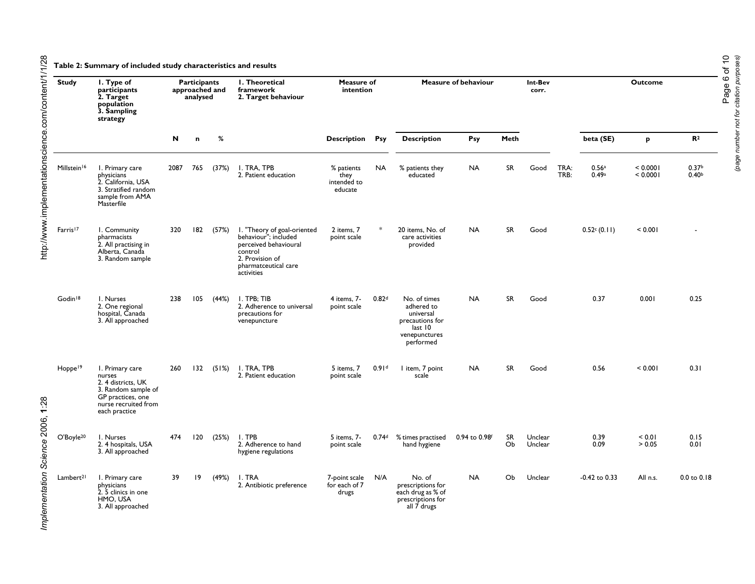| <b>Study</b>            | I. Type of<br>participants<br>2. Target<br>population<br>3. Sampling<br>strategy                                                     | <b>Participants</b><br>approached and<br>analysed |             |       | I. Theoretical<br>framework<br>2. Target behaviour                                                                                               | Measure of<br>intention                      |                   | <b>Measure of behaviour</b>                                                                         |               |                 | Int-Bev<br>corr.   |              |                   | <b>Outcome</b>       |                                        |
|-------------------------|--------------------------------------------------------------------------------------------------------------------------------------|---------------------------------------------------|-------------|-------|--------------------------------------------------------------------------------------------------------------------------------------------------|----------------------------------------------|-------------------|-----------------------------------------------------------------------------------------------------|---------------|-----------------|--------------------|--------------|-------------------|----------------------|----------------------------------------|
|                         |                                                                                                                                      | N                                                 | $\mathbf n$ | %     |                                                                                                                                                  | <b>Description Psy</b>                       |                   | <b>Description</b>                                                                                  | Psy           | Meth            |                    |              | beta (SE)         | P                    | R <sup>2</sup>                         |
| Millstein <sup>16</sup> | I. Primary care<br>physicians<br>2. California, USA<br>3. Stratified random<br>sample from AMA<br>Masterfile                         | 2087                                              | 765         | (37%) | I. TRA, TPB<br>2. Patient education                                                                                                              | % patients<br>they<br>intended to<br>educate | <b>NA</b>         | % patients they<br>educated                                                                         | <b>NA</b>     | <b>SR</b>       | Good               | TRA:<br>TRB: | 0.56a<br>0.49a    | < 0.0001<br>< 0.0001 | 0.37 <sup>b</sup><br>0.40 <sup>b</sup> |
| Farris <sup>17</sup>    | I. Community<br>pharmacists<br>2. All practising in<br>Alberta, Canada<br>3. Random sample                                           | 320                                               | 182         | (57%) | I. "Theory of goal-oriented<br>behaviour"; included<br>perceived behavioural<br>control<br>2. Provision of<br>pharmatceutical care<br>activities | 2 items, 7<br>point scale                    | $\ast$            | 20 items, No. of<br>care activities<br>provided                                                     | <b>NA</b>     | <b>SR</b>       | Good               |              | 0.52c(0.11)       | < 0.001              |                                        |
| Godin <sup>18</sup>     | I. Nurses<br>2. One regional<br>hospital, Canada<br>3. All approached                                                                | 238                                               | 105         | (44%) | I. TPB: TIB<br>2. Adherence to universal<br>precautions for<br>venepuncture                                                                      | 4 items, 7-<br>point scale                   | 0.82 <sup>d</sup> | No. of times<br>adhered to<br>universal<br>precautions for<br>last 10<br>venepunctures<br>performed | <b>NA</b>     | <b>SR</b>       | Good               |              | 0.37              | 0.001                | 0.25                                   |
| Hoppe <sup>19</sup>     | I. Primary care<br>nurses<br>2. 4 districts, UK<br>3. Random sample of<br>GP practices, one<br>nurse recruited from<br>each practice | 260                                               | 132         | (51%) | I. TRA. TPB<br>2. Patient education                                                                                                              | 5 items, 7<br>point scale                    | 0.91 <sup>d</sup> | I item, 7 point<br>scale                                                                            | <b>NA</b>     | <b>SR</b>       | Good               |              | 0.56              | < 0.001              | 0.31                                   |
| O'Boyle <sup>20</sup>   | I. Nurses<br>2. 4 hospitals, USA<br>3. All approached                                                                                | 474                                               | 120         | (25%) | I. TPB<br>2. Adherence to hand<br>hygiene regulations                                                                                            | 5 items, 7-<br>point scale                   | 0.74d             | % times practised<br>hand hygiene                                                                   | 0.94 to 0.98f | <b>SR</b><br>Ob | Unclear<br>Unclear |              | 0.39<br>0.09      | 0.01<br>> 0.05       | 0.15<br>0.01                           |
| Lambert <sup>21</sup>   | I. Primary care<br>physicians<br>2. 5 clinics in one<br>HMO, USA<br>3. All approached                                                | 39                                                | 19          | (49%) | I. TRA<br>2. Antibiotic preference                                                                                                               | 7-point scale<br>for each of 7<br>drugs      | N/A               | No. of<br>prescriptions for<br>each drug as % of<br>prescriptions for<br>all 7 drugs                | <b>NA</b>     | Ob              | Unclear            |              | $-0.42$ to $0.33$ | All n.s.             | $0.0$ to $0.18$                        |

Implementation Science 2006, 1:28

Page 6 of 10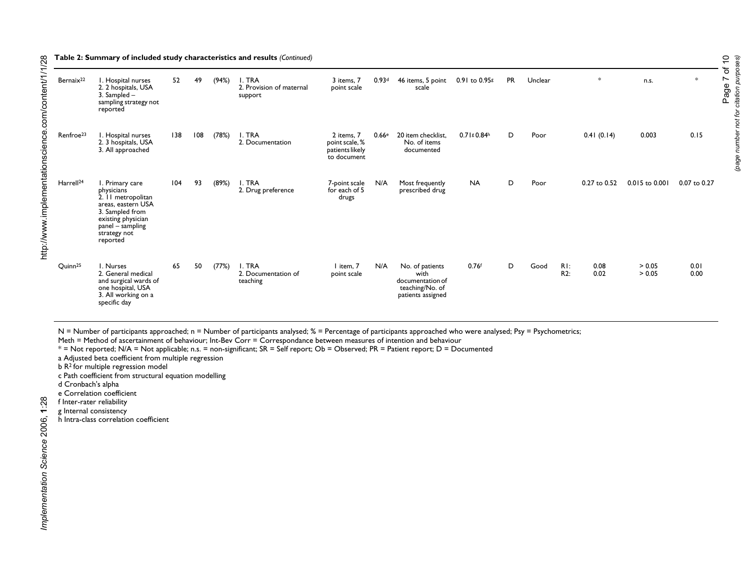|                       |                                                                                                                                                                    |     |     |       | Table 2: Summary of included study characteristics and results (Continued) |                                                                |                   |                                                                                     |               |           |         |                            |              |                    |              |
|-----------------------|--------------------------------------------------------------------------------------------------------------------------------------------------------------------|-----|-----|-------|----------------------------------------------------------------------------|----------------------------------------------------------------|-------------------|-------------------------------------------------------------------------------------|---------------|-----------|---------|----------------------------|--------------|--------------------|--------------|
| Bernaix <sup>22</sup> | I. Hospital nurses<br>2. 2 hospitals, USA<br>3. Sampled –<br>sampling strategy not<br>reported                                                                     | 52  | 49  | (94%) | I. TRA<br>2. Provision of maternal<br>support                              | 3 items, 7<br>point scale                                      | 0.93 <sup>d</sup> | 46 items, 5 point<br>scale                                                          | 0.91 to 0.95g | <b>PR</b> | Unclear |                            | $\ast$       | n.s.               | $*$          |
| Renfroe <sup>23</sup> | I. Hospital nurses<br>2. 3 hospitals, USA<br>3. All approached                                                                                                     | 138 | 108 | (78%) | I. TRA<br>2. Documentation                                                 | 2 items, 7<br>point scale, %<br>patients likely<br>to document | 0.66e             | 20 item checklist.<br>No. of items<br>documented                                    | 0.7180.84h    | D         | Poor    |                            | 0.41(0.14)   | 0.003              | 0.15         |
| Harrell <sup>24</sup> | I. Primary care<br>physicians<br>2. 11 metropolitan<br>areas, eastern USA<br>3. Sampled from<br>existing physician<br>panel - sampling<br>strategy not<br>reported | 104 | 93  | (89%) | I. TRA<br>2. Drug preference                                               | 7-point scale<br>for each of 5<br>drugs                        | N/A               | Most frequently<br>prescribed drug                                                  | <b>NA</b>     | D         | Poor    |                            | 0.27 to 0.52 | $0.015$ to $0.001$ | 0.07 to 0.27 |
| Quinn <sup>25</sup>   | I. Nurses<br>2. General medical<br>and surgical wards of<br>one hospital, USA<br>3. All working on a<br>specific day                                               | 65  | 50  | (77%) | I. TRA<br>2. Documentation of<br>teaching                                  | I item, 7<br>point scale                                       | N/A               | No. of patients<br>with<br>documentation of<br>teaching/No. of<br>patients assigned | $0.76$ f      | D         | Good    | $R!$ :<br>R <sub>2</sub> : | 0.08<br>0.02 | > 0.05<br>> 0.05   | 0.01<br>0.00 |

N = Number of participants approached; n = Number of participants analysed; % = Percentage of participants approached who were analysed; Psy = Psychometrics;

Meth = Method of ascertainment of behaviour; Int-Bev Corr = Correspondance between measures of intention and behaviour

\* = Not reported; N/A = Not applicable; n.s. = non-significant; SR = Self report; Ob = Observed; PR = Patient report; D = Documented

a Adjusted beta coefficient from multiple regression

b R2 for multiple regression model

- c Path coefficient from structural equation modelling
- d Cronbach's alpha
- e Correlation coefficient
- f Inter-rater reliability

g Internal consistency

h Intra-class correlation coefficient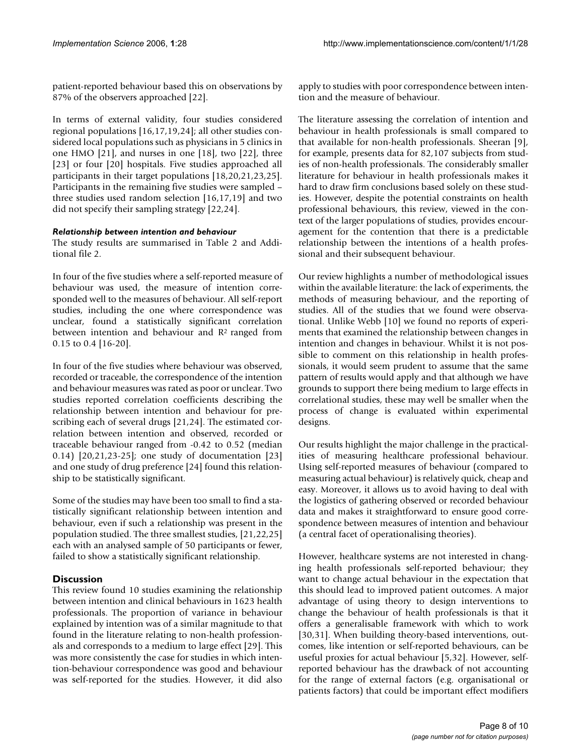patient-reported behaviour based this on observations by 87% of the observers approached [22].

In terms of external validity, four studies considered regional populations [16,17,19,24]; all other studies considered local populations such as physicians in 5 clinics in one HMO [21], and nurses in one [18], two [22], three [23] or four [20] hospitals. Five studies approached all participants in their target populations [18,20,21,23,25]. Participants in the remaining five studies were sampled – three studies used random selection [16,17,19] and two did not specify their sampling strategy [22,24].

## *Relationship between intention and behaviour*

The study results are summarised in Table 2 and Additional file 2.

In four of the five studies where a self-reported measure of behaviour was used, the measure of intention corresponded well to the measures of behaviour. All self-report studies, including the one where correspondence was unclear, found a statistically significant correlation between intention and behaviour and R<sup>2</sup> ranged from 0.15 to 0.4 [16-20].

In four of the five studies where behaviour was observed, recorded or traceable, the correspondence of the intention and behaviour measures was rated as poor or unclear. Two studies reported correlation coefficients describing the relationship between intention and behaviour for prescribing each of several drugs [21,24]. The estimated correlation between intention and observed, recorded or traceable behaviour ranged from -0.42 to 0.52 (median 0.14) [20,21,23-25]; one study of documentation [23] and one study of drug preference [24] found this relationship to be statistically significant.

Some of the studies may have been too small to find a statistically significant relationship between intention and behaviour, even if such a relationship was present in the population studied. The three smallest studies, [21,22,25] each with an analysed sample of 50 participants or fewer, failed to show a statistically significant relationship.

# **Discussion**

This review found 10 studies examining the relationship between intention and clinical behaviours in 1623 health professionals. The proportion of variance in behaviour explained by intention was of a similar magnitude to that found in the literature relating to non-health professionals and corresponds to a medium to large effect [29]. This was more consistently the case for studies in which intention-behaviour correspondence was good and behaviour was self-reported for the studies. However, it did also

apply to studies with poor correspondence between intention and the measure of behaviour.

The literature assessing the correlation of intention and behaviour in health professionals is small compared to that available for non-health professionals. Sheeran [9], for example, presents data for 82,107 subjects from studies of non-health professionals. The considerably smaller literature for behaviour in health professionals makes it hard to draw firm conclusions based solely on these studies. However, despite the potential constraints on health professional behaviours, this review, viewed in the context of the larger populations of studies, provides encouragement for the contention that there is a predictable relationship between the intentions of a health professional and their subsequent behaviour.

Our review highlights a number of methodological issues within the available literature: the lack of experiments, the methods of measuring behaviour, and the reporting of studies. All of the studies that we found were observational. Unlike Webb [10] we found no reports of experiments that examined the relationship between changes in intention and changes in behaviour. Whilst it is not possible to comment on this relationship in health professionals, it would seem prudent to assume that the same pattern of results would apply and that although we have grounds to support there being medium to large effects in correlational studies, these may well be smaller when the process of change is evaluated within experimental designs.

Our results highlight the major challenge in the practicalities of measuring healthcare professional behaviour. Using self-reported measures of behaviour (compared to measuring actual behaviour) is relatively quick, cheap and easy. Moreover, it allows us to avoid having to deal with the logistics of gathering observed or recorded behaviour data and makes it straightforward to ensure good correspondence between measures of intention and behaviour (a central facet of operationalising theories).

However, healthcare systems are not interested in changing health professionals self-reported behaviour; they want to change actual behaviour in the expectation that this should lead to improved patient outcomes. A major advantage of using theory to design interventions to change the behaviour of health professionals is that it offers a generalisable framework with which to work [30,31]. When building theory-based interventions, outcomes, like intention or self-reported behaviours, can be useful proxies for actual behaviour [5,32]. However, selfreported behaviour has the drawback of not accounting for the range of external factors (e.g. organisational or patients factors) that could be important effect modifiers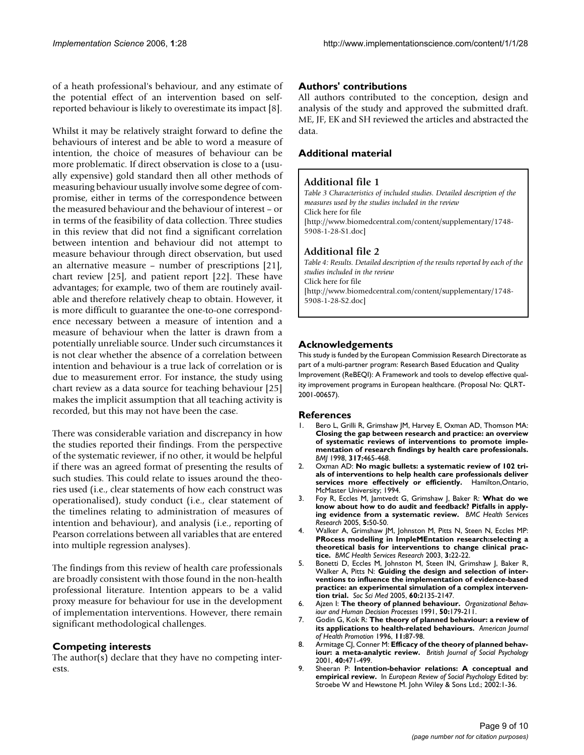of a heath professional's behaviour, and any estimate of the potential effect of an intervention based on selfreported behaviour is likely to overestimate its impact [8].

Whilst it may be relatively straight forward to define the behaviours of interest and be able to word a measure of intention, the choice of measures of behaviour can be more problematic. If direct observation is close to a (usually expensive) gold standard then all other methods of measuring behaviour usually involve some degree of compromise, either in terms of the correspondence between the measured behaviour and the behaviour of interest – or in terms of the feasibility of data collection. Three studies in this review that did not find a significant correlation between intention and behaviour did not attempt to measure behaviour through direct observation, but used an alternative measure – number of prescriptions [21], chart review [25], and patient report [22]. These have advantages; for example, two of them are routinely available and therefore relatively cheap to obtain. However, it is more difficult to guarantee the one-to-one correspondence necessary between a measure of intention and a measure of behaviour when the latter is drawn from a potentially unreliable source. Under such circumstances it is not clear whether the absence of a correlation between intention and behaviour is a true lack of correlation or is due to measurement error. For instance, the study using chart review as a data source for teaching behaviour [25] makes the implicit assumption that all teaching activity is recorded, but this may not have been the case.

There was considerable variation and discrepancy in how the studies reported their findings. From the perspective of the systematic reviewer, if no other, it would be helpful if there was an agreed format of presenting the results of such studies. This could relate to issues around the theories used (i.e., clear statements of how each construct was operationalised), study conduct (i.e., clear statement of the timelines relating to administration of measures of intention and behaviour), and analysis (i.e., reporting of Pearson correlations between all variables that are entered into multiple regression analyses).

The findings from this review of health care professionals are broadly consistent with those found in the non-health professional literature. Intention appears to be a valid proxy measure for behaviour for use in the development of implementation interventions. However, there remain significant methodological challenges.

#### **Competing interests**

The author(s) declare that they have no competing interests.

## **Authors' contributions**

All authors contributed to the conception, design and analysis of the study and approved the submitted draft. ME, JF, EK and SH reviewed the articles and abstracted the data.

## **Additional material**

#### **Additional file 1**

*Table 3 Characteristics of included studies. Detailed description of the measures used by the studies included in the review* Click here for file [\[http://www.biomedcentral.com/content/supplementary/1748-](http://www.biomedcentral.com/content/supplementary/1748-5908-1-28-S1.doc) 5908-1-28-S1.doc]

#### **Additional file 2**

*Table 4: Results. Detailed description of the results reported by each of the studies included in the review* Click here for file [\[http://www.biomedcentral.com/content/supplementary/1748-](http://www.biomedcentral.com/content/supplementary/1748-5908-1-28-S2.doc) 5908-1-28-S2.doc]

## **Acknowledgements**

This study is funded by the European Commission Research Directorate as part of a multi-partner program: Research Based Education and Quality Improvement (ReBEQI): A Framework and tools to develop effective quality improvement programs in European healthcare. (Proposal No: QLRT-2001-00657).

#### **References**

- 1. Bero L, Grilli R, Grimshaw JM, Harvey E, Oxman AD, Thomson MA: **Closing the gap between research and practice: an overview of systematic reviews of interventions to promote imple[mentation of research findings by health care professionals.](http://www.ncbi.nlm.nih.gov/entrez/query.fcgi?cmd=Retrieve&db=PubMed&dopt=Abstract&list_uids=9703533)** *BMJ* 1998, **317:**465-468.
- 2. Oxman AD: **No magic bullets: a systematic review of 102 trials of interventions to help health care professionals deliver services more effectively or efficiently.** Hamilton,Ontario, McMaster University; 1994.
- 3. Foy R, Eccles M, Jamtvedt G, Grimshaw J, Baker R: **[What do we](http://www.ncbi.nlm.nih.gov/entrez/query.fcgi?cmd=Retrieve&db=PubMed&dopt=Abstract&list_uids=16011811) [know about how to do audit and feedback? Pitfalls in apply](http://www.ncbi.nlm.nih.gov/entrez/query.fcgi?cmd=Retrieve&db=PubMed&dopt=Abstract&list_uids=16011811)[ing evidence from a systematic review.](http://www.ncbi.nlm.nih.gov/entrez/query.fcgi?cmd=Retrieve&db=PubMed&dopt=Abstract&list_uids=16011811)** *BMC Health Services Research* 2005, **5:**50-50.
- 4. Walker A, Grimshaw JM, Johnston M, Pitts N, Steen N, Eccles MP: **PRocess modelling in ImpleMEntation research:selecting a [theoretical basis for interventions to change clinical prac](http://www.ncbi.nlm.nih.gov/entrez/query.fcgi?cmd=Retrieve&db=PubMed&dopt=Abstract&list_uids=14683530)[tice.](http://www.ncbi.nlm.nih.gov/entrez/query.fcgi?cmd=Retrieve&db=PubMed&dopt=Abstract&list_uids=14683530)** *BMC Health Services Research* 2003, **3:**22-22.
- 5. Bonetti D, Eccles M, Johnston M, Steen IN, Grimshaw J, Baker R, Walker A, Pitts N: **[Guiding the design and selection of inter](http://www.ncbi.nlm.nih.gov/entrez/query.fcgi?cmd=Retrieve&db=PubMed&dopt=Abstract&list_uids=15743661)ventions to influence the implementation of evidence-based [practice: an experimental simulation of a complex interven](http://www.ncbi.nlm.nih.gov/entrez/query.fcgi?cmd=Retrieve&db=PubMed&dopt=Abstract&list_uids=15743661)[tion trial.](http://www.ncbi.nlm.nih.gov/entrez/query.fcgi?cmd=Retrieve&db=PubMed&dopt=Abstract&list_uids=15743661)** *Soc Sci Med* 2005, **60:**2135-2147.
- 6. Ajzen I: **The theory of planned behaviour.** *Organizational Behaviour and Human Decision Processes* 1991, **50:**179-211.
- 7. Godin G, Kok R: **[The theory of planned behaviour: a review of](http://www.ncbi.nlm.nih.gov/entrez/query.fcgi?cmd=Retrieve&db=PubMed&dopt=Abstract&list_uids=10163601) [its applications to health-related behaviours.](http://www.ncbi.nlm.nih.gov/entrez/query.fcgi?cmd=Retrieve&db=PubMed&dopt=Abstract&list_uids=10163601)** *American Journal of Health Promotion* 1996, **11:**87-98.
- 8. Armitage CJ, Conner M: **[Efficacy of the theory of planned behav](http://www.ncbi.nlm.nih.gov/entrez/query.fcgi?cmd=Retrieve&db=PubMed&dopt=Abstract&list_uids=11795063)[iour: a meta-analytic review.](http://www.ncbi.nlm.nih.gov/entrez/query.fcgi?cmd=Retrieve&db=PubMed&dopt=Abstract&list_uids=11795063)** *British Journal of Social Psychology* 2001, **40:**471-499.
- 9. Sheeran P: **Intention-behavior relations: A conceptual and empirical review.** In *European Review of Social Psychology* Edited by: Stroebe W and Hewstone M. John Wiley & Sons Ltd.; 2002:1-36.